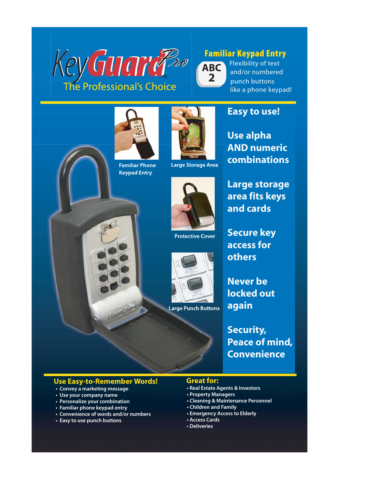



**2 ABC**

 **Large Storage Area** 

 **Protective Cover**

Flexibility of text and/or numbered punch buttons like a phone keypad!





**Use alpha AND numeric combinations**

**Large storage area fits keys and cards**

**Secure key access for others**

**Never be locked out again**

**Security, Peace of mind, Convenience**

## **Use Easy-to-Remember Words! Great for:**

- **Convey a marketing message**
- **Use your company name**
- **Personalize your combination**
- **Familiar phone keypad entry**
- **Convenience of words and/or numbers**
- **Easy to use punch buttons**

- **Real Estate Agents & Investors**
- **Property Managers**
- **Cleaning & Maintenance Personnel**
- **Children and Family**
- **Emergency Access to Elderly**
- **Access Cards**
- **Deliveries**